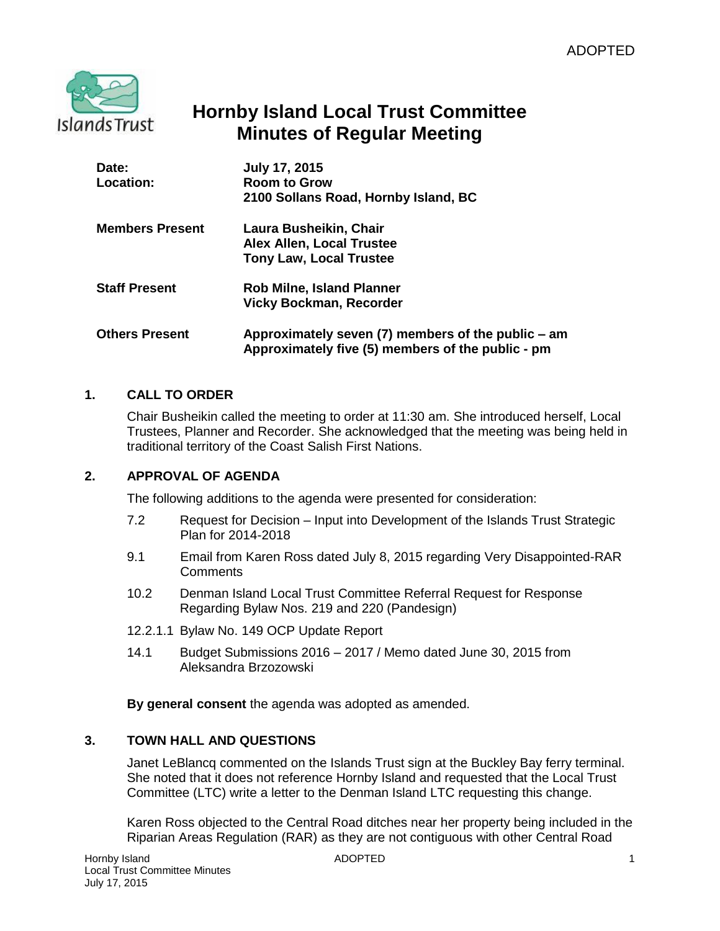

# **Hornby Island Local Trust Committee Minutes of Regular Meeting**

| Date:<br>Location:     | <b>July 17, 2015</b><br><b>Room to Grow</b><br>2100 Sollans Road, Hornby Island, BC                     |
|------------------------|---------------------------------------------------------------------------------------------------------|
| <b>Members Present</b> | Laura Busheikin, Chair<br>Alex Allen, Local Trustee<br><b>Tony Law, Local Trustee</b>                   |
| <b>Staff Present</b>   | <b>Rob Milne, Island Planner</b><br><b>Vicky Bockman, Recorder</b>                                      |
| <b>Others Present</b>  | Approximately seven (7) members of the public – am<br>Approximately five (5) members of the public - pm |

# **1. CALL TO ORDER**

Chair Busheikin called the meeting to order at 11:30 am. She introduced herself, Local Trustees, Planner and Recorder. She acknowledged that the meeting was being held in traditional territory of the Coast Salish First Nations.

## **2. APPROVAL OF AGENDA**

The following additions to the agenda were presented for consideration:

- 7.2 Request for Decision Input into Development of the Islands Trust Strategic Plan for 2014-2018
- 9.1 Email from Karen Ross dated July 8, 2015 regarding Very Disappointed-RAR **Comments**
- 10.2 Denman Island Local Trust Committee Referral Request for Response Regarding Bylaw Nos. 219 and 220 (Pandesign)
- 12.2.1.1 Bylaw No. 149 OCP Update Report
- 14.1 Budget Submissions 2016 2017 / Memo dated June 30, 2015 from Aleksandra Brzozowski

**By general consent** the agenda was adopted as amended.

#### **3. TOWN HALL AND QUESTIONS**

Janet LeBlancq commented on the Islands Trust sign at the Buckley Bay ferry terminal. She noted that it does not reference Hornby Island and requested that the Local Trust Committee (LTC) write a letter to the Denman Island LTC requesting this change.

Karen Ross objected to the Central Road ditches near her property being included in the Riparian Areas Regulation (RAR) as they are not contiguous with other Central Road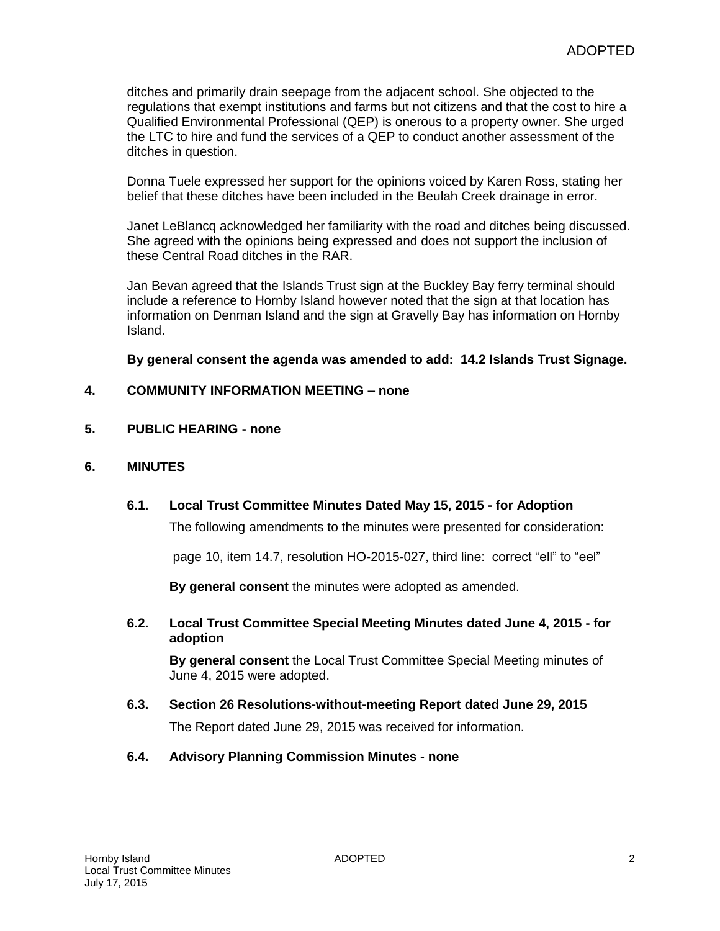ditches and primarily drain seepage from the adjacent school. She objected to the regulations that exempt institutions and farms but not citizens and that the cost to hire a Qualified Environmental Professional (QEP) is onerous to a property owner. She urged the LTC to hire and fund the services of a QEP to conduct another assessment of the ditches in question.

Donna Tuele expressed her support for the opinions voiced by Karen Ross, stating her belief that these ditches have been included in the Beulah Creek drainage in error.

Janet LeBlancq acknowledged her familiarity with the road and ditches being discussed. She agreed with the opinions being expressed and does not support the inclusion of these Central Road ditches in the RAR.

Jan Bevan agreed that the Islands Trust sign at the Buckley Bay ferry terminal should include a reference to Hornby Island however noted that the sign at that location has information on Denman Island and the sign at Gravelly Bay has information on Hornby Island.

**By general consent the agenda was amended to add: 14.2 Islands Trust Signage.**

#### **4. COMMUNITY INFORMATION MEETING – none**

**5. PUBLIC HEARING - none**

#### **6. MINUTES**

**6.1. Local Trust Committee Minutes Dated May 15, 2015 - for Adoption**

The following amendments to the minutes were presented for consideration:

page 10, item 14.7, resolution HO-2015-027, third line: correct "ell" to "eel"

**By general consent** the minutes were adopted as amended.

**6.2. Local Trust Committee Special Meeting Minutes dated June 4, 2015 - for adoption**

**By general consent** the Local Trust Committee Special Meeting minutes of June 4, 2015 were adopted.

- **6.3. Section 26 Resolutions-without-meeting Report dated June 29, 2015** The Report dated June 29, 2015 was received for information.
- **6.4. Advisory Planning Commission Minutes - none**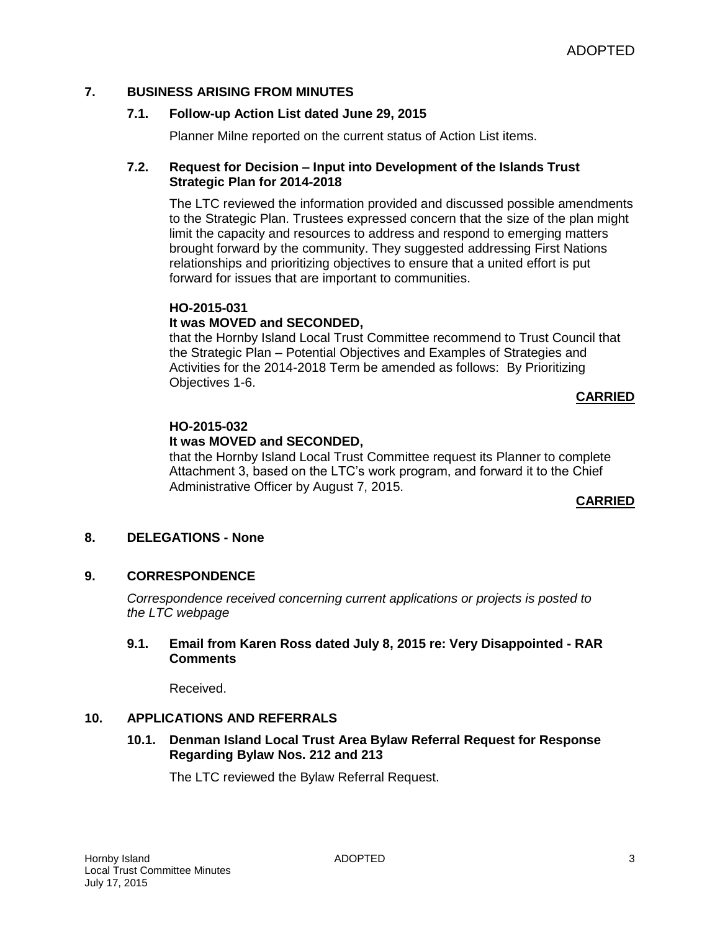#### **7. BUSINESS ARISING FROM MINUTES**

#### **7.1. Follow-up Action List dated June 29, 2015**

Planner Milne reported on the current status of Action List items.

#### **7.2. Request for Decision – Input into Development of the Islands Trust Strategic Plan for 2014-2018**

The LTC reviewed the information provided and discussed possible amendments to the Strategic Plan. Trustees expressed concern that the size of the plan might limit the capacity and resources to address and respond to emerging matters brought forward by the community. They suggested addressing First Nations relationships and prioritizing objectives to ensure that a united effort is put forward for issues that are important to communities.

## **HO-2015-031**

#### **It was MOVED and SECONDED,**

that the Hornby Island Local Trust Committee recommend to Trust Council that the Strategic Plan – Potential Objectives and Examples of Strategies and Activities for the 2014-2018 Term be amended as follows: By Prioritizing Objectives 1-6.

#### **CARRIED**

## **HO-2015-032**

#### **It was MOVED and SECONDED,**

that the Hornby Island Local Trust Committee request its Planner to complete Attachment 3, based on the LTC's work program, and forward it to the Chief Administrative Officer by August 7, 2015.

#### **CARRIED**

#### **8. DELEGATIONS - None**

#### **9. CORRESPONDENCE**

*Correspondence received concerning current applications or projects is posted to the LTC webpage*

#### **9.1. Email from Karen Ross dated July 8, 2015 re: Very Disappointed - RAR Comments**

Received.

#### **10. APPLICATIONS AND REFERRALS**

**10.1. Denman Island Local Trust Area Bylaw Referral Request for Response Regarding Bylaw Nos. 212 and 213**

The LTC reviewed the Bylaw Referral Request.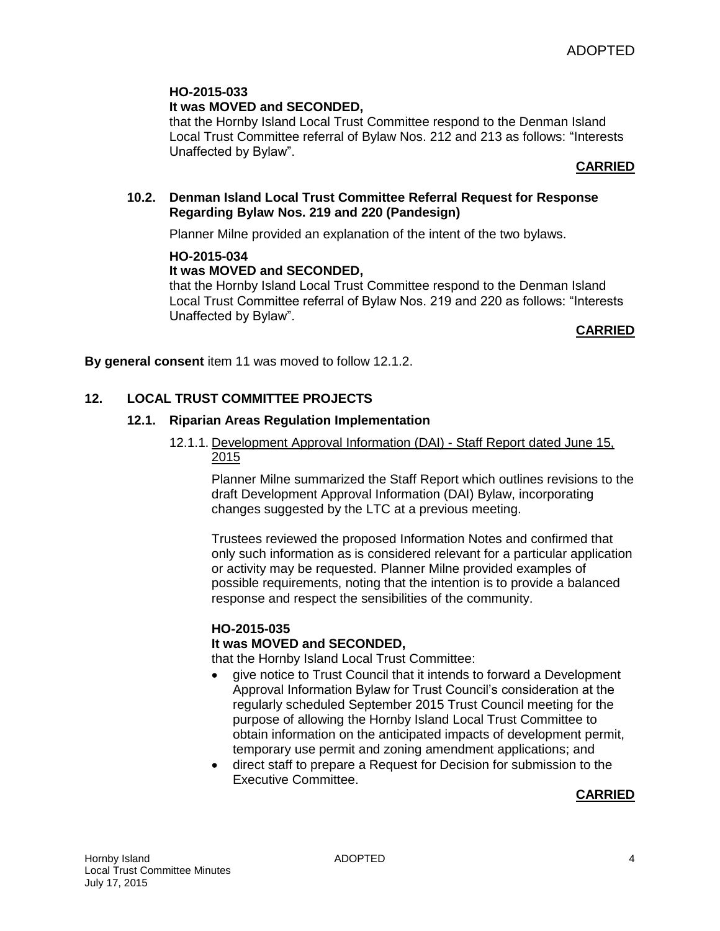## **It was MOVED and SECONDED,**

that the Hornby Island Local Trust Committee respond to the Denman Island Local Trust Committee referral of Bylaw Nos. 212 and 213 as follows: "Interests Unaffected by Bylaw".

## **CARRIED**

#### **10.2. Denman Island Local Trust Committee Referral Request for Response Regarding Bylaw Nos. 219 and 220 (Pandesign)**

Planner Milne provided an explanation of the intent of the two bylaws.

#### **HO-2015-034**

## **It was MOVED and SECONDED,**

that the Hornby Island Local Trust Committee respond to the Denman Island Local Trust Committee referral of Bylaw Nos. 219 and 220 as follows: "Interests Unaffected by Bylaw".

#### **CARRIED**

**By general consent** item 11 was moved to follow 12.1.2.

## **12. LOCAL TRUST COMMITTEE PROJECTS**

#### **12.1. Riparian Areas Regulation Implementation**

#### 12.1.1. Development Approval Information (DAI) - Staff Report dated June 15, 2015

Planner Milne summarized the Staff Report which outlines revisions to the draft Development Approval Information (DAI) Bylaw, incorporating changes suggested by the LTC at a previous meeting.

Trustees reviewed the proposed Information Notes and confirmed that only such information as is considered relevant for a particular application or activity may be requested. Planner Milne provided examples of possible requirements, noting that the intention is to provide a balanced response and respect the sensibilities of the community.

#### **HO-2015-035**

#### **It was MOVED and SECONDED,**

that the Hornby Island Local Trust Committee:

- give notice to Trust Council that it intends to forward a Development Approval Information Bylaw for Trust Council's consideration at the regularly scheduled September 2015 Trust Council meeting for the purpose of allowing the Hornby Island Local Trust Committee to obtain information on the anticipated impacts of development permit, temporary use permit and zoning amendment applications; and
- direct staff to prepare a Request for Decision for submission to the Executive Committee.

#### **CARRIED**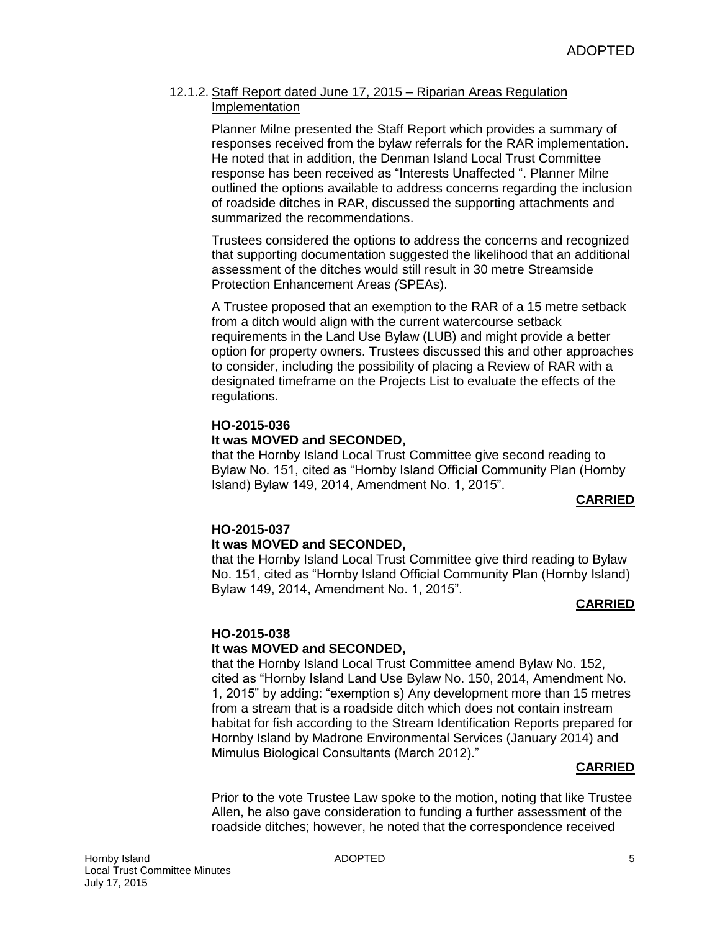#### 12.1.2. Staff Report dated June 17, 2015 – Riparian Areas Regulation Implementation

Planner Milne presented the Staff Report which provides a summary of responses received from the bylaw referrals for the RAR implementation. He noted that in addition, the Denman Island Local Trust Committee response has been received as "Interests Unaffected ". Planner Milne outlined the options available to address concerns regarding the inclusion of roadside ditches in RAR, discussed the supporting attachments and summarized the recommendations.

Trustees considered the options to address the concerns and recognized that supporting documentation suggested the likelihood that an additional assessment of the ditches would still result in 30 metre Streamside Protection Enhancement Areas *(*SPEAs).

A Trustee proposed that an exemption to the RAR of a 15 metre setback from a ditch would align with the current watercourse setback requirements in the Land Use Bylaw (LUB) and might provide a better option for property owners. Trustees discussed this and other approaches to consider, including the possibility of placing a Review of RAR with a designated timeframe on the Projects List to evaluate the effects of the regulations.

#### **HO-2015-036 It was MOVED and SECONDED,**

that the Hornby Island Local Trust Committee give second reading to Bylaw No. 151, cited as "Hornby Island Official Community Plan (Hornby Island) Bylaw 149, 2014, Amendment No. 1, 2015".

## **CARRIED**

#### **HO-2015-037 It was MOVED and SECONDED,**

that the Hornby Island Local Trust Committee give third reading to Bylaw No. 151, cited as "Hornby Island Official Community Plan (Hornby Island) Bylaw 149, 2014, Amendment No. 1, 2015".

## **CARRIED**

## **HO-2015-038**

## **It was MOVED and SECONDED,**

that the Hornby Island Local Trust Committee amend Bylaw No. 152, cited as "Hornby Island Land Use Bylaw No. 150, 2014, Amendment No. 1, 2015" by adding: "exemption s) Any development more than 15 metres from a stream that is a roadside ditch which does not contain instream habitat for fish according to the Stream Identification Reports prepared for Hornby Island by Madrone Environmental Services (January 2014) and Mimulus Biological Consultants (March 2012)."

#### **CARRIED**

Prior to the vote Trustee Law spoke to the motion, noting that like Trustee Allen, he also gave consideration to funding a further assessment of the roadside ditches; however, he noted that the correspondence received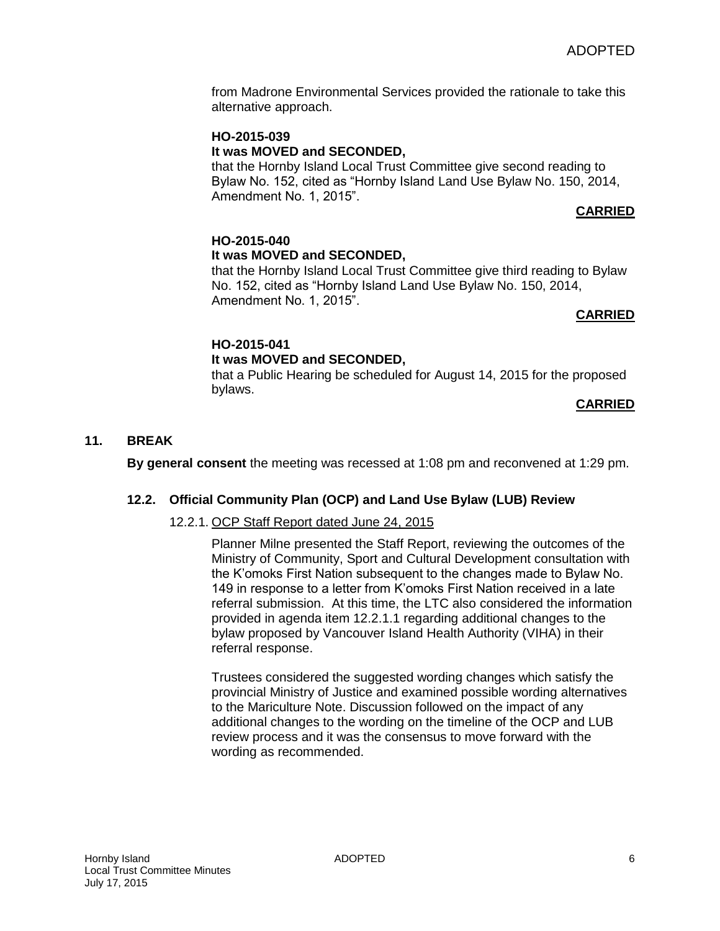from Madrone Environmental Services provided the rationale to take this alternative approach.

# **HO-2015-039 It was MOVED and SECONDED,**

that the Hornby Island Local Trust Committee give second reading to Bylaw No. 152, cited as "Hornby Island Land Use Bylaw No. 150, 2014, Amendment No. 1, 2015".

## **CARRIED**

#### **HO-2015-040 It was MOVED and SECONDED,**

that the Hornby Island Local Trust Committee give third reading to Bylaw No. 152, cited as "Hornby Island Land Use Bylaw No. 150, 2014, Amendment No. 1, 2015".

## **CARRIED**

## **HO-2015-041**

## **It was MOVED and SECONDED,**

that a Public Hearing be scheduled for August 14, 2015 for the proposed bylaws.

**CARRIED**

#### **11. BREAK**

**By general consent** the meeting was recessed at 1:08 pm and reconvened at 1:29 pm.

#### **12.2. Official Community Plan (OCP) and Land Use Bylaw (LUB) Review**

#### 12.2.1. OCP Staff Report dated June 24, 2015

Planner Milne presented the Staff Report, reviewing the outcomes of the Ministry of Community, Sport and Cultural Development consultation with the K'omoks First Nation subsequent to the changes made to Bylaw No. 149 in response to a letter from K'omoks First Nation received in a late referral submission. At this time, the LTC also considered the information provided in agenda item 12.2.1.1 regarding additional changes to the bylaw proposed by Vancouver Island Health Authority (VIHA) in their referral response.

Trustees considered the suggested wording changes which satisfy the provincial Ministry of Justice and examined possible wording alternatives to the Mariculture Note. Discussion followed on the impact of any additional changes to the wording on the timeline of the OCP and LUB review process and it was the consensus to move forward with the wording as recommended.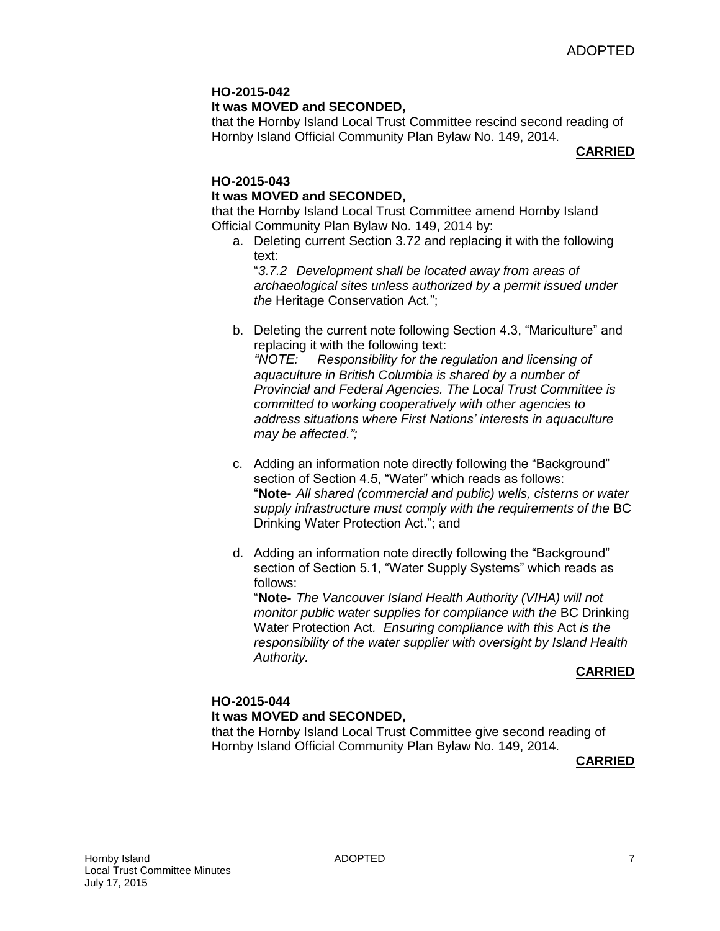## **It was MOVED and SECONDED,**

that the Hornby Island Local Trust Committee rescind second reading of Hornby Island Official Community Plan Bylaw No. 149, 2014.

#### **CARRIED**

#### **HO-2015-043**

## **It was MOVED and SECONDED,**

that the Hornby Island Local Trust Committee amend Hornby Island Official Community Plan Bylaw No. 149, 2014 by:

a. Deleting current Section 3.72 and replacing it with the following text:

"*3.7.2 Development shall be located away from areas of archaeological sites unless authorized by a permit issued under the* Heritage Conservation Act*.*";

- b. Deleting the current note following Section 4.3, "Mariculture" and replacing it with the following text: *"NOTE: Responsibility for the regulation and licensing of aquaculture in British Columbia is shared by a number of Provincial and Federal Agencies. The Local Trust Committee is committed to working cooperatively with other agencies to address situations where First Nations' interests in aquaculture may be affected.";*
- c. Adding an information note directly following the "Background" section of Section 4.5, "Water" which reads as follows: "**Note-** *All shared (commercial and public) wells, cisterns or water supply infrastructure must comply with the requirements of the* BC Drinking Water Protection Act."; and
- d. Adding an information note directly following the "Background" section of Section 5.1, "Water Supply Systems" which reads as follows:

"**Note-** *The Vancouver Island Health Authority (VIHA) will not monitor public water supplies for compliance with the* BC Drinking Water Protection Act*. Ensuring compliance with this* Act *is the responsibility of the water supplier with oversight by Island Health Authority.*

#### **CARRIED**

## **HO-2015-044 It was MOVED and SECONDED,**

that the Hornby Island Local Trust Committee give second reading of Hornby Island Official Community Plan Bylaw No. 149, 2014.

#### **CARRIED**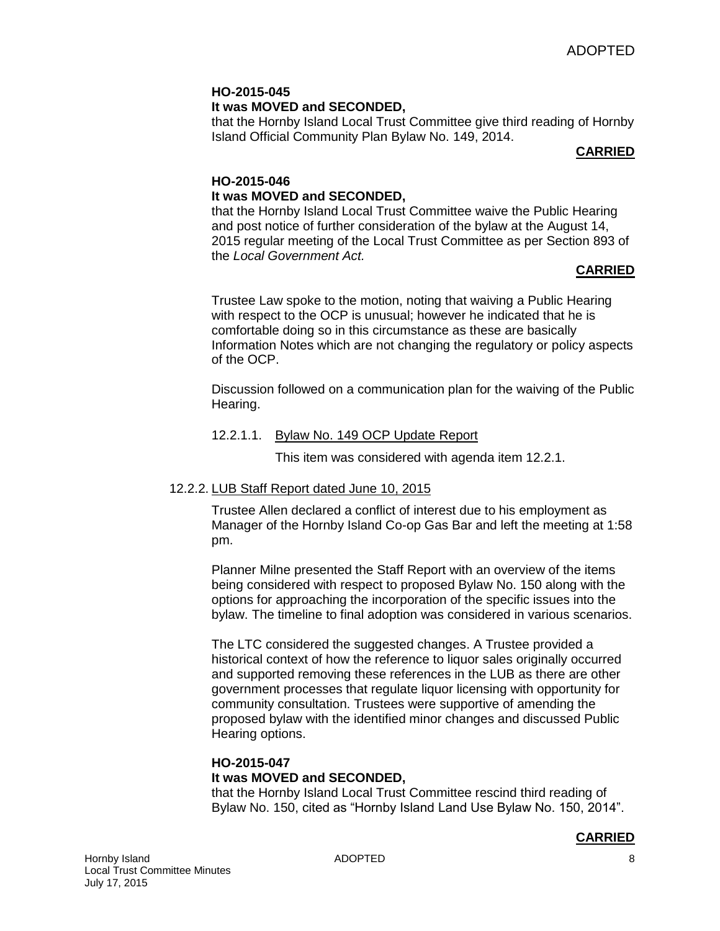#### **HO-2015-045 It was MOVED and SECONDED,**

that the Hornby Island Local Trust Committee give third reading of Hornby Island Official Community Plan Bylaw No. 149, 2014.

## **CARRIED**

# **HO-2015-046 It was MOVED and SECONDED,**

that the Hornby Island Local Trust Committee waive the Public Hearing and post notice of further consideration of the bylaw at the August 14, 2015 regular meeting of the Local Trust Committee as per Section 893 of the *Local Government Act.*

# **CARRIED**

Trustee Law spoke to the motion, noting that waiving a Public Hearing with respect to the OCP is unusual; however he indicated that he is comfortable doing so in this circumstance as these are basically Information Notes which are not changing the regulatory or policy aspects of the OCP.

Discussion followed on a communication plan for the waiving of the Public Hearing.

## 12.2.1.1. Bylaw No. 149 OCP Update Report

This item was considered with agenda item 12.2.1.

# 12.2.2. LUB Staff Report dated June 10, 2015

Trustee Allen declared a conflict of interest due to his employment as Manager of the Hornby Island Co-op Gas Bar and left the meeting at 1:58 pm.

Planner Milne presented the Staff Report with an overview of the items being considered with respect to proposed Bylaw No. 150 along with the options for approaching the incorporation of the specific issues into the bylaw. The timeline to final adoption was considered in various scenarios.

The LTC considered the suggested changes. A Trustee provided a historical context of how the reference to liquor sales originally occurred and supported removing these references in the LUB as there are other government processes that regulate liquor licensing with opportunity for community consultation. Trustees were supportive of amending the proposed bylaw with the identified minor changes and discussed Public Hearing options.

#### **HO-2015-047 It was MOVED and SECONDED,**

that the Hornby Island Local Trust Committee rescind third reading of Bylaw No. 150, cited as "Hornby Island Land Use Bylaw No. 150, 2014".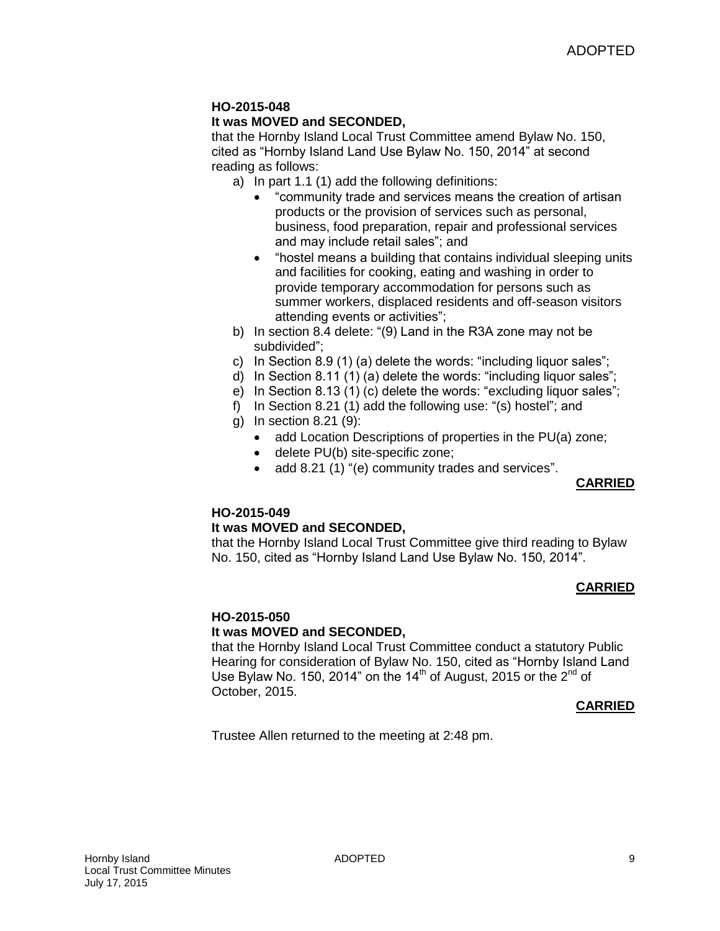# **It was MOVED and SECONDED,**

that the Hornby Island Local Trust Committee amend Bylaw No. 150, cited as "Hornby Island Land Use Bylaw No. 150, 2014" at second reading as follows:

- a) In part 1.1 (1) add the following definitions:
	- "community trade and services means the creation of artisan products or the provision of services such as personal, business, food preparation, repair and professional services and may include retail sales"; and
	- "hostel means a building that contains individual sleeping units and facilities for cooking, eating and washing in order to provide temporary accommodation for persons such as summer workers, displaced residents and off-season visitors attending events or activities";
- b) In section 8.4 delete: "(9) Land in the R3A zone may not be subdivided";
- c) In Section 8.9 (1) (a) delete the words: "including liquor sales";
- d) In Section 8.11 (1) (a) delete the words: "including liquor sales";
- e) In Section 8.13 (1) (c) delete the words: "excluding liquor sales";
- f) In Section 8.21 (1) add the following use: "(s) hostel"; and
- g) In section 8.21 (9):
	- add Location Descriptions of properties in the PU(a) zone;
	- delete PU(b) site-specific zone;
	- add 8.21 (1) "(e) community trades and services".

#### **CARRIED**

## **HO-2015-049**

#### **It was MOVED and SECONDED,**

that the Hornby Island Local Trust Committee give third reading to Bylaw No. 150, cited as "Hornby Island Land Use Bylaw No. 150, 2014".

## **CARRIED**

## **HO-2015-050**

#### **It was MOVED and SECONDED,**

that the Hornby Island Local Trust Committee conduct a statutory Public Hearing for consideration of Bylaw No. 150, cited as "Hornby Island Land Use Bylaw No. 150, 2014" on the 14<sup>th</sup> of August, 2015 or the 2<sup>nd</sup> of October, 2015.

#### **CARRIED**

Trustee Allen returned to the meeting at 2:48 pm.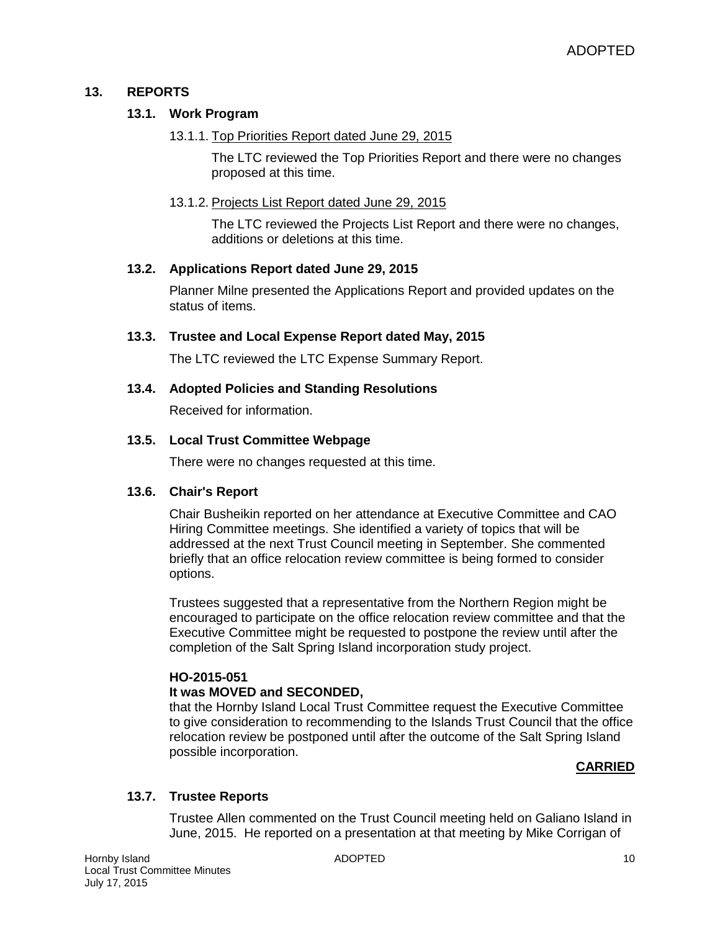## **13. REPORTS**

## **13.1. Work Program**

#### 13.1.1. Top Priorities Report dated June 29, 2015

The LTC reviewed the Top Priorities Report and there were no changes proposed at this time.

## 13.1.2. Projects List Report dated June 29, 2015

The LTC reviewed the Projects List Report and there were no changes, additions or deletions at this time.

#### **13.2. Applications Report dated June 29, 2015**

Planner Milne presented the Applications Report and provided updates on the status of items.

## **13.3. Trustee and Local Expense Report dated May, 2015**

The LTC reviewed the LTC Expense Summary Report.

## **13.4. Adopted Policies and Standing Resolutions**

Received for information.

## **13.5. Local Trust Committee Webpage**

There were no changes requested at this time.

#### **13.6. Chair's Report**

Chair Busheikin reported on her attendance at Executive Committee and CAO Hiring Committee meetings. She identified a variety of topics that will be addressed at the next Trust Council meeting in September. She commented briefly that an office relocation review committee is being formed to consider options.

Trustees suggested that a representative from the Northern Region might be encouraged to participate on the office relocation review committee and that the Executive Committee might be requested to postpone the review until after the completion of the Salt Spring Island incorporation study project.

#### **HO-2015-051**

#### **It was MOVED and SECONDED,**

that the Hornby Island Local Trust Committee request the Executive Committee to give consideration to recommending to the Islands Trust Council that the office relocation review be postponed until after the outcome of the Salt Spring Island possible incorporation.

#### **CARRIED**

## **13.7. Trustee Reports**

Trustee Allen commented on the Trust Council meeting held on Galiano Island in June, 2015. He reported on a presentation at that meeting by Mike Corrigan of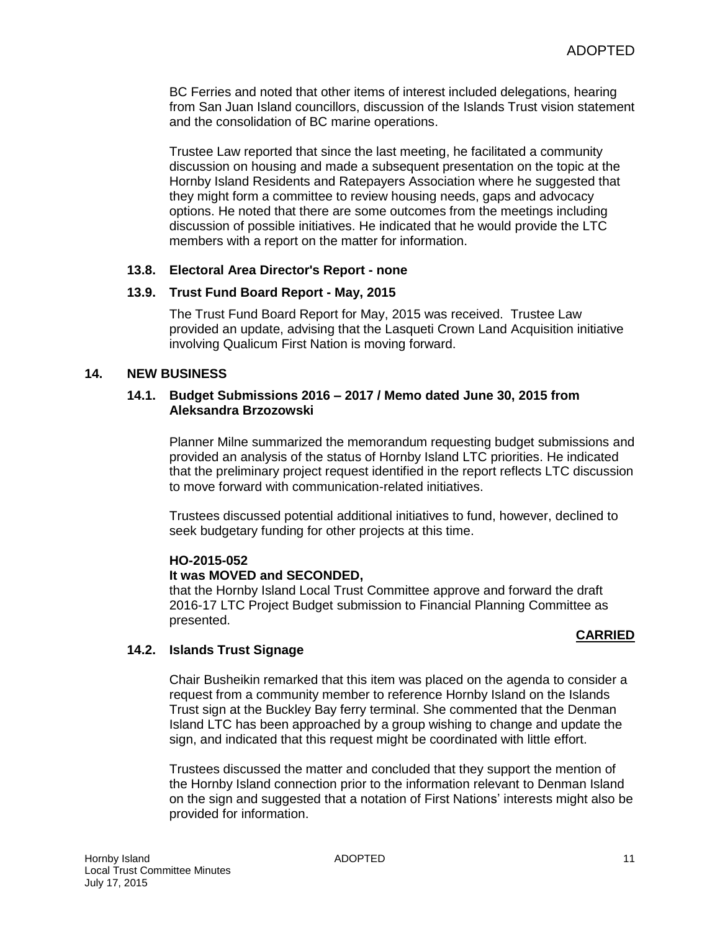BC Ferries and noted that other items of interest included delegations, hearing from San Juan Island councillors, discussion of the Islands Trust vision statement and the consolidation of BC marine operations.

Trustee Law reported that since the last meeting, he facilitated a community discussion on housing and made a subsequent presentation on the topic at the Hornby Island Residents and Ratepayers Association where he suggested that they might form a committee to review housing needs, gaps and advocacy options. He noted that there are some outcomes from the meetings including discussion of possible initiatives. He indicated that he would provide the LTC members with a report on the matter for information.

#### **13.8. Electoral Area Director's Report - none**

#### **13.9. Trust Fund Board Report - May, 2015**

The Trust Fund Board Report for May, 2015 was received. Trustee Law provided an update, advising that the Lasqueti Crown Land Acquisition initiative involving Qualicum First Nation is moving forward.

#### **14. NEW BUSINESS**

#### **14.1. Budget Submissions 2016 – 2017 / Memo dated June 30, 2015 from Aleksandra Brzozowski**

Planner Milne summarized the memorandum requesting budget submissions and provided an analysis of the status of Hornby Island LTC priorities. He indicated that the preliminary project request identified in the report reflects LTC discussion to move forward with communication-related initiatives.

Trustees discussed potential additional initiatives to fund, however, declined to seek budgetary funding for other projects at this time.

#### **HO-2015-052**

#### **It was MOVED and SECONDED,**

that the Hornby Island Local Trust Committee approve and forward the draft 2016-17 LTC Project Budget submission to Financial Planning Committee as presented.

#### **CARRIED**

#### **14.2. Islands Trust Signage**

Chair Busheikin remarked that this item was placed on the agenda to consider a request from a community member to reference Hornby Island on the Islands Trust sign at the Buckley Bay ferry terminal. She commented that the Denman Island LTC has been approached by a group wishing to change and update the sign, and indicated that this request might be coordinated with little effort.

Trustees discussed the matter and concluded that they support the mention of the Hornby Island connection prior to the information relevant to Denman Island on the sign and suggested that a notation of First Nations' interests might also be provided for information.